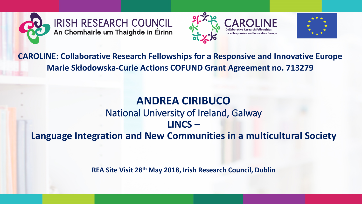





**CAROLINE: Collaborative Research Fellowships for a Responsive and Innovative Europe Marie Skłodowska-Curie Actions COFUND Grant Agreement no. 713279**

#### **ANDREA CIRIBUCO** National University of Ireland, Galway **LINCS – Language Integration and New Communities in a multicultural Society**

**REA Site Visit 28th May 2018, Irish Research Council, Dublin**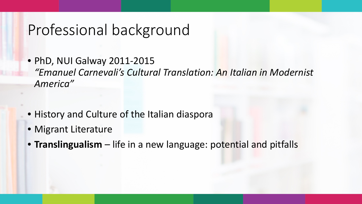#### Professional background

- PhD, NUI Galway 2011-2015 *"Emanuel Carnevali's Cultural Translation: An Italian in Modernist America"*
- History and Culture of the Italian diaspora
- Migrant Literature
- **Translingualism** life in a new language: potential and pitfalls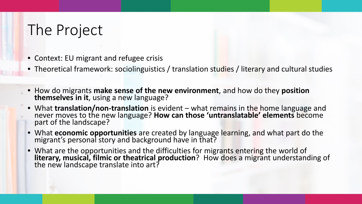## The Project

- Context: EU migrant and refugee crisis
- Theoretical framework: sociolinguistics / translation studies / literary and cultural studies
- How do migrants **make sense of the new environment**, and how do they **position themselves in it**, using a new language?
- What **translation/non-translation** is evident what remains in the home language and never moves to the new language? **How can those 'untranslatable' elements** become part of the landscape?
- What **economic opportunities** are created by language learning, and what part do the migrant's personal story and background have in that?
- What are the opportunities and the difficulties for migrants entering the world of literary, musical, filmic or theatrical production? How does a migrant understanding of the new landscape translate into art?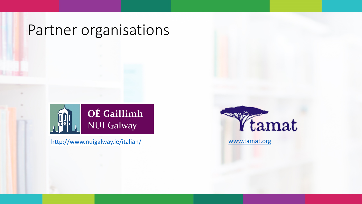#### Partner organisations



<http://www.nuigalway.ie/italian/> [www.tamat.org](http://www.tamat.org/)

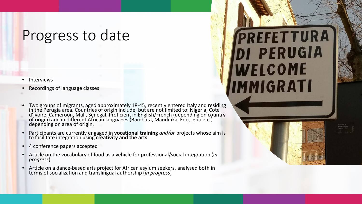#### Progress to date

- **Interviews**
- Recordings of language classes
- Two groups of migrants, aged approximately 18-45, recently entered Italy and residing in the Perugia area. Countries of origin include, but are not limited to: Nigeria, Cote d'Ivoire, Cameroon, Mali, Senegal. Proficient in English/French (depending on country of origin) and in different African languages (Bambara, Mandinka, Edo, Igbo etc.) depending on area of origin.
- Participants are currently engaged in **vocational training** *and/or* projects whose aim is to facilitate integration using **creativity and the arts**.
- 4 conference papers accepted
- Article on the vocabulary of food as a vehicle for professional/social integration (*in progress*)
- Article on a dance-based arts project for African asylum seekers, analysed both in terms of socialization and translingual authorship (*in progress*)

# PREFETTURA DI PERUGIA WELCOME **MMIGRATI**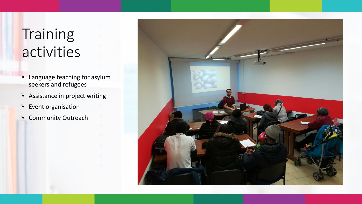# **Training** activities

- Language teaching for asylum seekers and refugees
- Assistance in project writing
- Event organisation
- Community Outreach